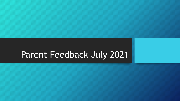# Parent Feedback July 2021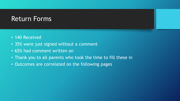### Return Forms

- 140 Received
- 35% were just signed without a comment
- 65% had comment written on
- Thank you to all parents who took the time to fill these in
- Outcomes are correlated on the following pages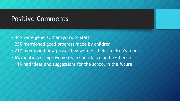# Positive Comments

- 44% were general thankyou's to staff
- 23% mentioned good progress made by children
- 21% mentioned how proud they were of their children's report
- 6% mentioned improvements in confidence and resilience
- 11% had ideas and suggestions for the school in the future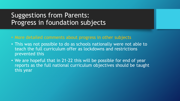# Suggestions from Parents: Progress in foundation subjects

- More detailed comments about progress in other subjects
- This was not possible to do as schools nationally were not able to teach the full curriculum offer as lockdowns and restrictions prevented this
- We are hopeful that in 21-22 this will be possible for end of year reports as the full national curriculum objectives should be taught this year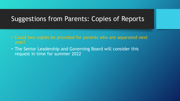### Suggestions from Parents: Copies of Reports

- Could two copies be provided for parents who are separated next year?
- The Senior Leadership and Governing Board will consider this request in time for summer 2022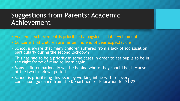### Suggestions from Parents: Academic Achievement

- Academic Achievement is prioritised alongside social development
- Concerns that children are far behind end of year expectations
- School is aware that many children suffered from a lack of socialisation, particularly during the second lockdown
- This has had to be a priority in some cases in order to get pupils to be in the right frame of mind to learn again
- Many children nationally will be behind where they should be, because of the two lockdown periods
- School is prioritising this issue by working inline with recovery curriculum guidance from the Department of Education for 21-22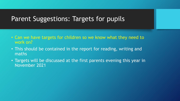#### Parent Suggestions: Targets for pupils

- Can we have targets for children so we know what they need to work on?
- This should be contained in the report for reading, writing and maths
- Targets will be discussed at the first parents evening this year in November 2021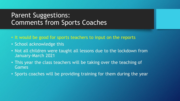### Parent Suggestions: Comments from Sports Coaches

- It would be good for sports teachers to input on the reports
- School acknowledge this
- Not all children were taught all lessons due to the lockdown from January-March 2021
- This year the class teachers will be taking over the teaching of Games
- Sports coaches will be providing training for them during the year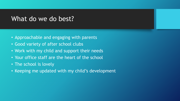#### What do we do best?

- Approachable and engaging with parents
- Good variety of after school clubs
- Work with my child and support their needs
- Your office staff are the heart of the school
- The school is lovely
- Keeping me updated with my child's development